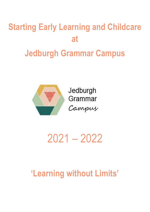# **Starting Early Learning and Childcare at Jedburgh Grammar Campus**



Jedburgh Grammar Campus

2021 – 2022

# **'Learning without Limits'**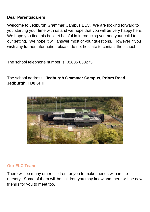# **Dear Parents/carers**

Welcome to Jedburgh Grammar Campus ELC. We are looking forward to you starting your time with us and we hope that you will be very happy here. We hope you find this booklet helpful in introducing you and your child to our setting. We hope it will answer most of your questions. However if you wish any further information please do not hesitate to contact the school.

The school telephone number is: 01835 863273

The school address **Jedburgh Grammar Campus, Priors Road, Jedburgh, TD8 6HH.**



# **Our ELC Team**

There will be many other children for you to make friends with in the nursery. Some of them will be children you may know and there will be new friends for you to meet too.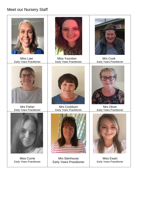# Meet our Nursery Staff



Miss Currie Early Years Practitioner

Mrs Stenhouse Early Years Practitioner

Miss Ewart Early Years Practitioner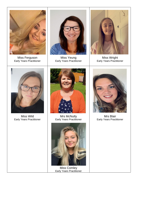

Miss Ferguson Early Years Practitioner



Miss Yeung Early Years Practitioner



Miss Wright Early Years Practitioner



Miss Wild Early Years Practitioner



Mrs McNulty Early Years Practitioner



Miss Comley Early Years Practitioner



Mrs Blair Early Years Practitioner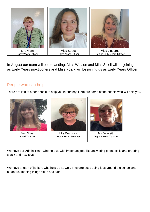

In August our team will be expanding, Miss Watson and Miss Shiell will be joining us as Early Years practitioners and Miss Fojick will be joining us as Early Years Officer.

# People who can help:

There are lots of other people to help you in nursery. Here are some of the people who will help you.



We have our Admin Team who help us with important jobs like answering phone calls and ordering snack and new toys.

We have a team of janitors who help us as well. They are busy doing jobs around the school and outdoors, keeping things clean and safe.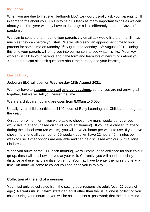#### **Induction**

When you are due to first start Jedburgh ELC, we would usually ask your parents to fill in some forms about you. This is to help us learn as many important things as we can about you. This year we may have to do things a little differently after the Covid-19 pandemic.

We plan to send the form out to your parents via email ask would like them to fill in as much as they can before you start. We will also send an appointment time to your parents for some time on Monday 9<sup>th</sup> August and Monday 16<sup>th</sup> August 2021. During this time your parents will bring you into our nursery to see what it is like. Your key worker will talk to your parents about the form and learn lots of new things about you. Your parents can also ask questions about the nursery and your learning.

#### **Our ELC day**

Jedburgh ELC will open on **Wednesday 18th August 2021.**

We may have to **stagger the start and collect times**, so that you are not arriving all together, but we will tell you nearer the time.

We are a childcare hub and are open from 8.00am to 6.00pm.

Usually, your child is entitled to 1140 hours of Early Learning and Childcare throughout the year.

On your enrolment form, you were able to choose how many weeks per year you would like to attend (based on 1140 hours entitlement). If you have chosen to attend during the school term (38 weeks), you will have 30 hours per week to use. If you have chosen to attend all year round (50 weeks), you will have 22 hours 45 minutes per week to use. Other options are available and can be discussed with our SEYO, Miss Lindores.

When you arrive at the ELC each morning, we will come in the entrance for your colour group, these will be shown to you at your visit. Currently, you will need to socially distance and use hand sanitizer on entry. You may have to enter the nursery one at a time. An adult will come to collect you and bring you in to play.

#### **Collection at the end of a session**

You must only be collected from the setting by a responsible adult (over 16 years of age.) **Parents must inform staff** if an adult other than the usual one is collecting you child. During your induction you will be asked to set a password; that the adult **must**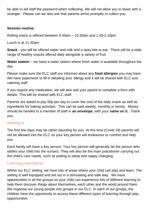be able to tell staff the password when collecting. We will not allow you to leave with a stranger. Please can we also ask that parents arrive promptly to collect you.

#### **Session routine:**

Rolling snack is offered between 9.45am – 10:30am and 1.45-2.15pm

Lunch is at 11.30am

**Snack** - you will be offered water and milk and a tasty bite to eat. There will be a wide range of healthy snacks offered daily alongside a variety of fruit.

**Water station** – we have a water station where fresh water is available throughout the day

Please make sure the ELC staff are informed about any **food allergies** you may have. We have paperwork to fill in detailing your allergy and it will be shared with ELC and catering staff.

If you require any medication, we will also ask your parent to complete a form with details. This will be shared with ELC staff.

Parents are asked to pay 50p per day to cover the cost of the daily snack as well as ingredients for baking activities. This can be paid weekly, monthly or termly. Money should be handed to a member of staff in **an envelope**, with your **name on it.** Thank you.

#### **Settling in**

The first few days may be rather daunting for you. At this time (Covid 19) parents will not be allowed into the ELC so your key person will endeavour to comfort and help you.

Each family will have a key person. Your key person will generally be the person who settles your child into the nursery. They will also be the main practitioner carrying out the child's care needs, such as putting to sleep and nappy changing.

#### **Learning experiences**

Within our ELC setting, we have lots of areas where your child can play and learn. The setting is well equipped and set out in a stimulating and safe way. We have opportunities in all the groups so your child can experience lots of different learning to help them discover things about themselves, each other and the world around them. We organise our young people into groups in our ELC. In each of our groups, the children have the opportunity to access these different types of learning through play opportunities: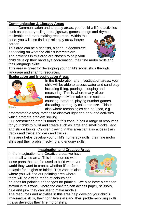#### **Communication & Literacy Areas**

In the Communication and Literacy areas, your child will find activities such as our story telling area, jigsaws, games, songs and rhymes,

malleable and mark making resources. Within this zone, you will also find our role play area/ house corner.

This area can be a dentists, a shop, a doctors etc, depending on what the child's interests are.



The activities in this area are chosen to help your child develop their hand eye coordination, their fine motor skills and their language skills.

This area is great for developing your child's social skills through language and sharing resources.

# **Exploration and Investigation Areas**



In the Exploration and Investigation areas, your child will be able to access water and sand play including filling, pouring, scooping and measuring. This is where many of our numeracy activities take place such as counting, patterns, playing number games, threading, sorting by colour or size. This is also where technologies can be used, e.g.

programmable toys, torches to discover light and dark and activities which promote problem solving.

Our construction area is found in this zone, it has a range of resources for your child to build and create such as large and small blocks, lego and stickle bricks. Children playing in this area can also access train tracks and trains and cars and trucks.

This area helps develop your child's numeracy skills, their fine motor skills and their problem solving and enquiry skills.

#### **Imagination and Creative Areas**

In the Imagination and Creative areas we have our small world area. This is resourced with loose parts that can be used to build whatever world they want to create, whether it's a farm, a castle for knights or fairies. This zone is also where you will find our painting area where there will be a wide range of colours and



brushes for painting or sponges for printing. We also have a creation station in this zone, where the children can access paper, scissors, glue and junk they can use to make models.

The resources and activities in this area help develop your child's imaginative skills, their cognitive skills and their problem-solving skills. It also develops their fine motor skills.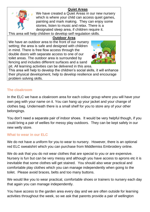#### **Quiet Areas**



We have created a Quiet Areas in our new nursery which is where your child can access quiet games, painting and mark making. They can enjoy some stories, listen to music and relax. There is a designated sleep area, if children require it.

This area will help children to develop self regulation skills.

#### **Outdoor Area**

We have an outdoor area to the front of our nursery setting; the area is safe and designed with children in mind. There is free flow access through the double doors with separate access to one of our toilet areas. The outdoor area is surrounded by fencing and includes different surfaces and a sand pit. All learning activities can be delivered in this area.



This area will help to develop the children's social skills, it will enhance their physical development, help to develop resilience and encourage problem solving skills.

#### **The cloakroom**

In the ELC we have a cloakroom area for each colour group where you will have your own peg with your name on it. You can hang up your jacket and your change of clothes bag. Underneath there is a small shelf for you to store any of your other belongings.

You don't need a separate pair of indoor shoes. It would be very helpful though, if you could bring a pair of wellies for messy play outdoors. They can be kept safely in our new welly store.

# **What to wear in our ELC**

We do not have a uniform for you to wear to nursery. However, there is an optional red ELC sweatshirt which you can purchase from Middlemiss Embroidery online.

We do ask that you do not wear clothes that are special to you or are expensive. Nursery is fun but can be very messy and although you have access to aprons etc it is inevitable that some clothes will get stained. You should also wear practical and comfortable play clothes which you can manage independently when going to the toilet. Please avoid braces, belts and too many buttons.

We would like you to wear practical, comfortable shoes or trainers to nursery each day that again you can manage independently.

You have access to the garden area every day and we are often outside for learning activities throughout the week, so we ask that parents provide a pair of wellington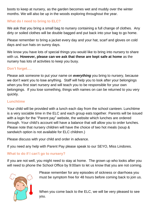boots to keep at nursery, as the garden becomes wet and muddy over the winter months. We will also be up in the woods exploring throughout the year.

#### **What do I need to bring to ELC?**

We ask that you bring a small bag to nursery containing a full change of clothes. Any dirty or soiled clothes will be double bagged and put back into your bag to go home.

Please remember to bring a jacket every day and your hat, scarf and gloves on cold days and sun hats on sunny days.

We know you have lots of special things you would like to bring into nursery to share with us. **However, please can we ask that these are kept safe at home** as the nursery has lots of activities to keep you busy.

#### **Don't forget….**

Please ask someone to put your name on *everything* you bring to nursery, because we don't want you to lose anything. Staff will help you to look after your belongings when you first start nursery and will teach you to be responsible for your own belongings. If you lose something, things with names on can be returned to you very quickly.

#### **Lunchtime**

Your child will be provided with a lunch each day from the school canteen. Lunchtime is a very sociable time in the ELC and each group eats together. Parents will be issued with a login for the "Parent pay" website, the website which lunches are ordered through. Your child's account will have a balance that will allow you to order lunches. Please note that nursery children will have the choice of two hot meals (soup & sandwich option is not available for ELC children.)

Please discuss with your child and order in advance.

If you need any help with Parent Pay please speak to our SEYO, Miss Lindores.

# **What to do if I can't go to nursery?**

If you are not well, you might need to stay at home. The grown up who looks after you will need to phone the School Office by 9:00am to let us know that you are not coming.



Please remember for any episodes of sickness or diarrhoea you must be symptom free for 48 hours before coming back to join us.

When you come back to the ELC, we will be very pleased to see you.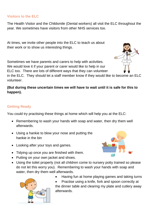#### **Visitors to the ELC**

The Health Visitor and the Childsmile (Dental workers) all visit the ELC throughout the year. We sometimes have visitors from other NHS services too.

At times, we invite other people into the ELC to teach us about their work or to show us interesting things.

Sometimes we have parents and carers to help with activities. We would love it if your parent or carer would like to help in our ELC too. There are lots of different ways that they can volunteer

in the ELC. They should let a staff member know if they would like to become an ELC volunteer.

#### **(But during these uncertain times we will have to wait until it is safe for this to happen).**

#### **Getting Ready**

You could try practising these things at home which will help you at the ELC:

- Remembering to wash your hands with soap and water, then dry them well afterwards.
- Using a hankie to blow your nose and putting the hankie in the bin
- Looking after your toys and games.
- Tidying up once you are finished with them.
- Putting on your own jacket and shoes.
- Using the toilet properly (not all children come to nursery potty trained so please do not let this worry you). Remembering to wash your hands with soap and water, then dry them well afterwards.



• Having fun at home playing games and taking turns

• Practise using a knife, fork and spoon correctly at the dinner table and clearing my plate and cutlery away afterwards.